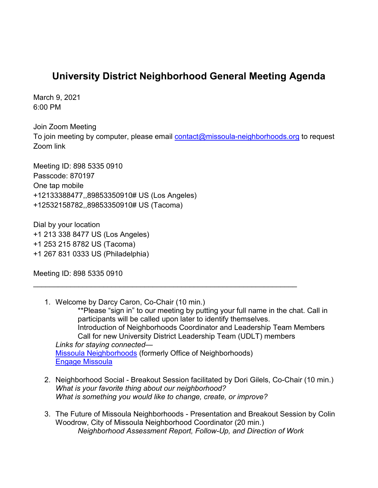## **University District Neighborhood General Meeting Agenda**

March 9, 2021 6:00 PM

Join Zoom Meeting To join meeting by computer, please email  $contact@missoula-neighborhoods.org$  to request Zoom link

Meeting ID: 898 5335 0910 Passcode: 870197 One tap mobile +12133388477,,89853350910# US (Los Angeles) +12532158782,,89853350910# US (Tacoma)

Dial by your location +1 213 338 8477 US (Los Angeles) +1 253 215 8782 US (Tacoma) +1 267 831 0333 US (Philadelphia)

Meeting ID: 898 5335 0910

1. Welcome by Darcy Caron, Co-Chair (10 min.) \*\*Please "sign in" to our meeting by putting your full name in the chat. Call in participants will be called upon later to identify themselves. Introduction of Neighborhoods Coordinator and Leadership Team Members Call for new University District Leadership Team (UDLT) members *Links for staying connected—* [Missoula Neighborhoods](https://www.ci.missoula.mt.us/298/Neighborhoods) (formerly Office of Neighborhoods) [Engage Missoula](https://www.engagemissoula.com/)

\_\_\_\_\_\_\_\_\_\_\_\_\_\_\_\_\_\_\_\_\_\_\_\_\_\_\_\_\_\_\_\_\_\_\_\_\_\_\_\_\_\_\_\_\_\_\_\_\_\_\_\_\_\_\_\_\_\_\_\_\_\_\_\_

- 2. Neighborhood Social Breakout Session facilitated by Dori Gilels, Co-Chair (10 min.) *What is your favorite thing about our neighborhood? What is something you would like to change, create, or improve?*
- 3. The Future of Missoula Neighborhoods Presentation and Breakout Session by Colin Woodrow, City of Missoula Neighborhood Coordinator (20 min.) *Neighborhood Assessment Report, Follow-Up, and Direction of Work*